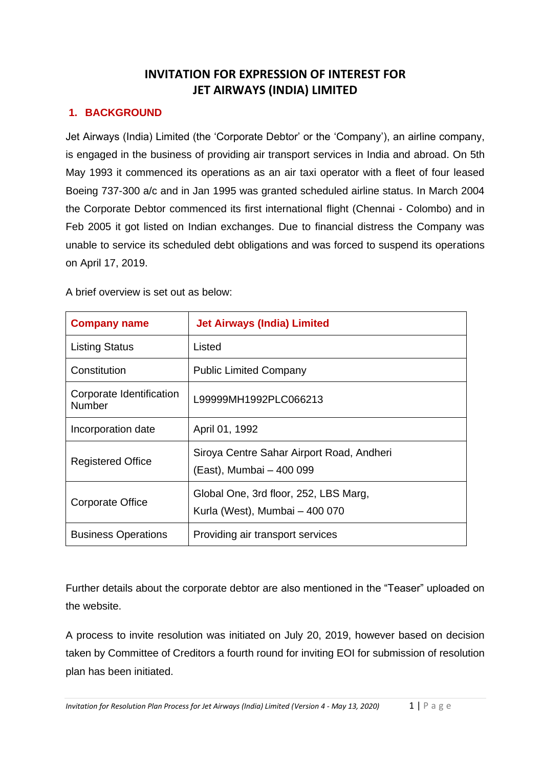## **INVITATION FOR EXPRESSION OF INTEREST FOR JET AIRWAYS (INDIA) LIMITED**

## **1. BACKGROUND**

Jet Airways (India) Limited (the 'Corporate Debtor' or the 'Company'), an airline company, is engaged in the business of providing air transport services in India and abroad. On 5th May 1993 it commenced its operations as an air taxi operator with a fleet of four leased Boeing 737-300 a/c and in Jan 1995 was granted scheduled airline status. In March 2004 the Corporate Debtor commenced its first international flight (Chennai - Colombo) and in Feb 2005 it got listed on Indian exchanges. Due to financial distress the Company was unable to service its scheduled debt obligations and was forced to suspend its operations on April 17, 2019.

A brief overview is set out as below:

| <b>Company name</b>                | <b>Jet Airways (India) Limited</b>                                      |
|------------------------------------|-------------------------------------------------------------------------|
| <b>Listing Status</b>              | Listed                                                                  |
| Constitution                       | <b>Public Limited Company</b>                                           |
| Corporate Identification<br>Number | L99999MH1992PLC066213                                                   |
| Incorporation date                 | April 01, 1992                                                          |
| <b>Registered Office</b>           | Siroya Centre Sahar Airport Road, Andheri<br>(East), Mumbai - 400 099   |
| <b>Corporate Office</b>            | Global One, 3rd floor, 252, LBS Marg,<br>Kurla (West), Mumbai - 400 070 |
| <b>Business Operations</b>         | Providing air transport services                                        |

Further details about the corporate debtor are also mentioned in the "Teaser" uploaded on the website.

A process to invite resolution was initiated on July 20, 2019, however based on decision taken by Committee of Creditors a fourth round for inviting EOI for submission of resolution plan has been initiated.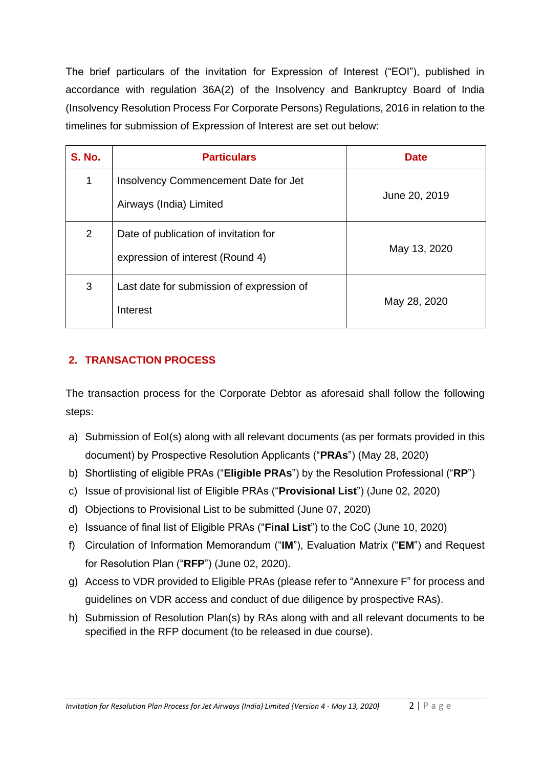The brief particulars of the invitation for Expression of Interest ("EOI"), published in accordance with regulation 36A(2) of the Insolvency and Bankruptcy Board of India (Insolvency Resolution Process For Corporate Persons) Regulations, 2016 in relation to the timelines for submission of Expression of Interest are set out below:

| <b>S. No.</b> | <b>Particulars</b>                                                        | <b>Date</b>   |
|---------------|---------------------------------------------------------------------------|---------------|
| 1             | Insolvency Commencement Date for Jet<br>Airways (India) Limited           | June 20, 2019 |
| 2             | Date of publication of invitation for<br>expression of interest (Round 4) | May 13, 2020  |
| 3             | Last date for submission of expression of<br>Interest                     | May 28, 2020  |

## **2. TRANSACTION PROCESS**

The transaction process for the Corporate Debtor as aforesaid shall follow the following steps:

- a) Submission of EoI(s) along with all relevant documents (as per formats provided in this document) by Prospective Resolution Applicants ("**PRAs**") (May 28, 2020)
- b) Shortlisting of eligible PRAs ("**Eligible PRAs**") by the Resolution Professional ("**RP**")
- c) Issue of provisional list of Eligible PRAs ("**Provisional List**") (June 02, 2020)
- d) Objections to Provisional List to be submitted (June 07, 2020)
- e) Issuance of final list of Eligible PRAs ("**Final List**") to the CoC (June 10, 2020)
- f) Circulation of Information Memorandum ("**IM**"), Evaluation Matrix ("**EM**") and Request for Resolution Plan ("**RFP**") (June 02, 2020).
- g) Access to VDR provided to Eligible PRAs (please refer to "Annexure F" for process and guidelines on VDR access and conduct of due diligence by prospective RAs).
- h) Submission of Resolution Plan(s) by RAs along with and all relevant documents to be specified in the RFP document (to be released in due course).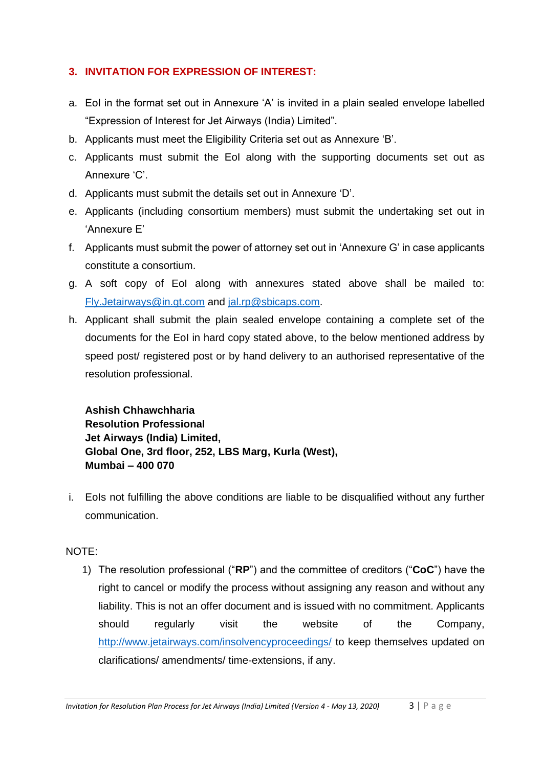## **3. INVITATION FOR EXPRESSION OF INTEREST:**

- a. EoI in the format set out in Annexure 'A' is invited in a plain sealed envelope labelled "Expression of Interest for Jet Airways (India) Limited".
- b. Applicants must meet the Eligibility Criteria set out as Annexure 'B'.
- c. Applicants must submit the EoI along with the supporting documents set out as Annexure 'C'.
- d. Applicants must submit the details set out in Annexure 'D'.
- e. Applicants (including consortium members) must submit the undertaking set out in 'Annexure E'
- f. Applicants must submit the power of attorney set out in 'Annexure G' in case applicants constitute a consortium.
- g. A soft copy of EoI along with annexures stated above shall be mailed to: [Fly.Jetairways@in.gt.com](mailto:Fly.Jetairways@in.gt.com) and [jal.rp@sbicaps.com.](mailto:jal.rp@sbicaps.com)
- h. Applicant shall submit the plain sealed envelope containing a complete set of the documents for the EoI in hard copy stated above, to the below mentioned address by speed post/ registered post or by hand delivery to an authorised representative of the resolution professional.

**Ashish Chhawchharia Resolution Professional Jet Airways (India) Limited, Global One, 3rd floor, 252, LBS Marg, Kurla (West), Mumbai – 400 070**

i. EoIs not fulfilling the above conditions are liable to be disqualified without any further communication.

## NOTE:

1) The resolution professional ("**RP**") and the committee of creditors ("**CoC**") have the right to cancel or modify the process without assigning any reason and without any liability. This is not an offer document and is issued with no commitment. Applicants should regularly visit the website of the Company, <http://www.jetairways.com/insolvencyproceedings/> to keep themselves updated on clarifications/ amendments/ time-extensions, if any.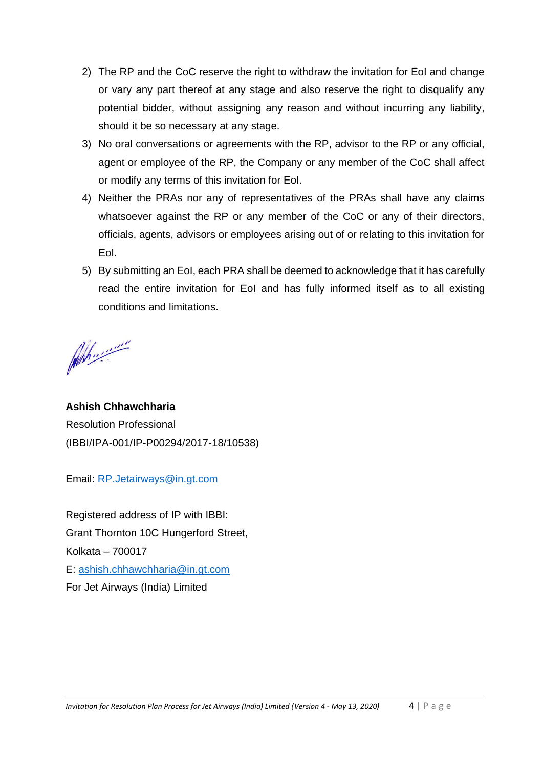- 2) The RP and the CoC reserve the right to withdraw the invitation for EoI and change or vary any part thereof at any stage and also reserve the right to disqualify any potential bidder, without assigning any reason and without incurring any liability, should it be so necessary at any stage.
- 3) No oral conversations or agreements with the RP, advisor to the RP or any official, agent or employee of the RP, the Company or any member of the CoC shall affect or modify any terms of this invitation for EoI.
- 4) Neither the PRAs nor any of representatives of the PRAs shall have any claims whatsoever against the RP or any member of the CoC or any of their directors, officials, agents, advisors or employees arising out of or relating to this invitation for EoI.
- 5) By submitting an EoI, each PRA shall be deemed to acknowledge that it has carefully read the entire invitation for EoI and has fully informed itself as to all existing conditions and limitations.

Ah .........

**Ashish Chhawchharia** Resolution Professional (IBBI/IPA-001/IP-P00294/2017-18/10538)

Email: [RP.Jetairways@in.gt.com](mailto:RP.Jetairways@in.gt.com)

Registered address of IP with IBBI: Grant Thornton 10C Hungerford Street, Kolkata – 700017 E: [ashish.chhawchharia@in.gt.com](mailto:ashish.chhawchharia@in.gt.com) For Jet Airways (India) Limited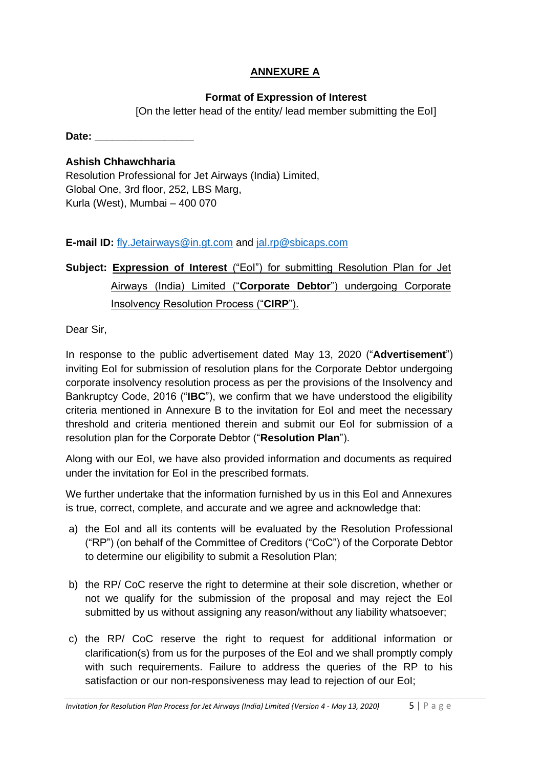## **ANNEXURE A**

## **Format of Expression of Interest**

[On the letter head of the entity/ lead member submitting the EoI]

**Date:**  $\blacksquare$ 

## **Ashish Chhawchharia**

Resolution Professional for Jet Airways (India) Limited, Global One, 3rd floor, 252, LBS Marg, Kurla (West), Mumbai – 400 070

## **E-mail ID:** [fly.Jetairways@in.gt.com](mailto:fly.Jetairways@in.gt.com) and [jal.rp@sbicaps.com](mailto:jal.rp@sbicaps.com)

# **Subject: Expression of Interest** ("EoI") for submitting Resolution Plan for Jet Airways (India) Limited ("**Corporate Debtor**") undergoing Corporate Insolvency Resolution Process ("**CIRP**").

Dear Sir,

In response to the public advertisement dated May 13, 2020 ("**Advertisement**") inviting EoI for submission of resolution plans for the Corporate Debtor undergoing corporate insolvency resolution process as per the provisions of the Insolvency and Bankruptcy Code, 2016 ("**IBC**"), we confirm that we have understood the eligibility criteria mentioned in Annexure B to the invitation for EoI and meet the necessary threshold and criteria mentioned therein and submit our EoI for submission of a resolution plan for the Corporate Debtor ("**Resolution Plan**").

Along with our EoI, we have also provided information and documents as required under the invitation for EoI in the prescribed formats.

We further undertake that the information furnished by us in this EoI and Annexures is true, correct, complete, and accurate and we agree and acknowledge that:

- a) the EoI and all its contents will be evaluated by the Resolution Professional ("RP") (on behalf of the Committee of Creditors ("CoC") of the Corporate Debtor to determine our eligibility to submit a Resolution Plan;
- b) the RP/ CoC reserve the right to determine at their sole discretion, whether or not we qualify for the submission of the proposal and may reject the EoI submitted by us without assigning any reason/without any liability whatsoever;
- c) the RP/ CoC reserve the right to request for additional information or clarification(s) from us for the purposes of the EoI and we shall promptly comply with such requirements. Failure to address the queries of the RP to his satisfaction or our non-responsiveness may lead to rejection of our EoI;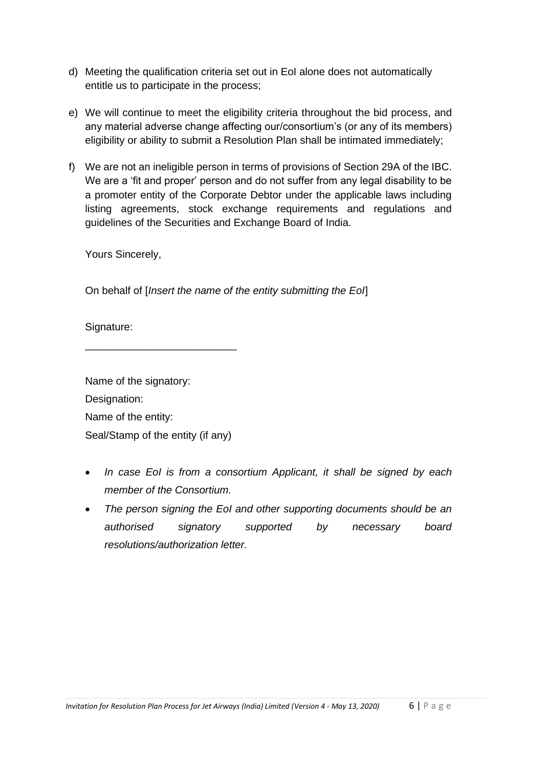- d) Meeting the qualification criteria set out in EoI alone does not automatically entitle us to participate in the process;
- e) We will continue to meet the eligibility criteria throughout the bid process, and any material adverse change affecting our/consortium's (or any of its members) eligibility or ability to submit a Resolution Plan shall be intimated immediately;
- f) We are not an ineligible person in terms of provisions of Section 29A of the IBC. We are a 'fit and proper' person and do not suffer from any legal disability to be a promoter entity of the Corporate Debtor under the applicable laws including listing agreements, stock exchange requirements and regulations and guidelines of the Securities and Exchange Board of India.

Yours Sincerely,

On behalf of [*Insert the name of the entity submitting the EoI*]

Signature:

Name of the signatory: Designation: Name of the entity: Seal/Stamp of the entity (if any)

\_\_\_\_\_\_\_\_\_\_\_\_\_\_\_\_\_\_\_\_\_\_\_\_\_\_

- *In case EoI is from a consortium Applicant, it shall be signed by each member of the Consortium.*
- *The person signing the EoI and other supporting documents should be an authorised signatory supported by necessary board resolutions/authorization letter.*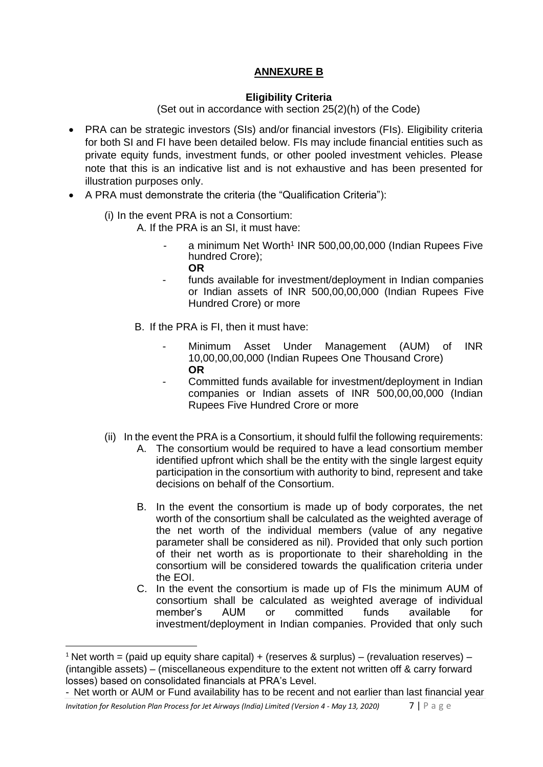## **ANNEXURE B**

#### **Eligibility Criteria**

(Set out in accordance with section 25(2)(h) of the Code)

- PRA can be strategic investors (SIs) and/or financial investors (FIs). Eligibility criteria for both SI and FI have been detailed below. FIs may include financial entities such as private equity funds, investment funds, or other pooled investment vehicles. Please note that this is an indicative list and is not exhaustive and has been presented for illustration purposes only.
- A PRA must demonstrate the criteria (the "Qualification Criteria"):
	- (i) In the event PRA is not a Consortium:
		- A. If the PRA is an SI, it must have:
			- a minimum Net Worth<sup>1</sup> INR 500,00,00,000 (Indian Rupees Five hundred Crore); **OR**
			- funds available for investment/deployment in Indian companies or Indian assets of INR 500,00,00,000 (Indian Rupees Five Hundred Crore) or more
		- B. If the PRA is FI, then it must have:
			- Minimum Asset Under Management (AUM) of INR 10,00,00,00,000 (Indian Rupees One Thousand Crore) **OR**
			- Committed funds available for investment/deployment in Indian companies or Indian assets of INR 500,00,00,000 (Indian Rupees Five Hundred Crore or more
	- (ii) In the event the PRA is a Consortium, it should fulfil the following requirements:
		- A. The consortium would be required to have a lead consortium member identified upfront which shall be the entity with the single largest equity participation in the consortium with authority to bind, represent and take decisions on behalf of the Consortium.
		- B. In the event the consortium is made up of body corporates, the net worth of the consortium shall be calculated as the weighted average of the net worth of the individual members (value of any negative parameter shall be considered as nil). Provided that only such portion of their net worth as is proportionate to their shareholding in the consortium will be considered towards the qualification criteria under the EOI.
		- C. In the event the consortium is made up of FIs the minimum AUM of consortium shall be calculated as weighted average of individual member's AUM or committed funds available for investment/deployment in Indian companies. Provided that only such

<sup>&</sup>lt;sup>1</sup> Net worth = (paid up equity share capital) + (reserves & surplus) – (revaluation reserves) – (intangible assets) – (miscellaneous expenditure to the extent not written off & carry forward losses) based on consolidated financials at PRA's Level.

<sup>-</sup> Net worth or AUM or Fund availability has to be recent and not earlier than last financial year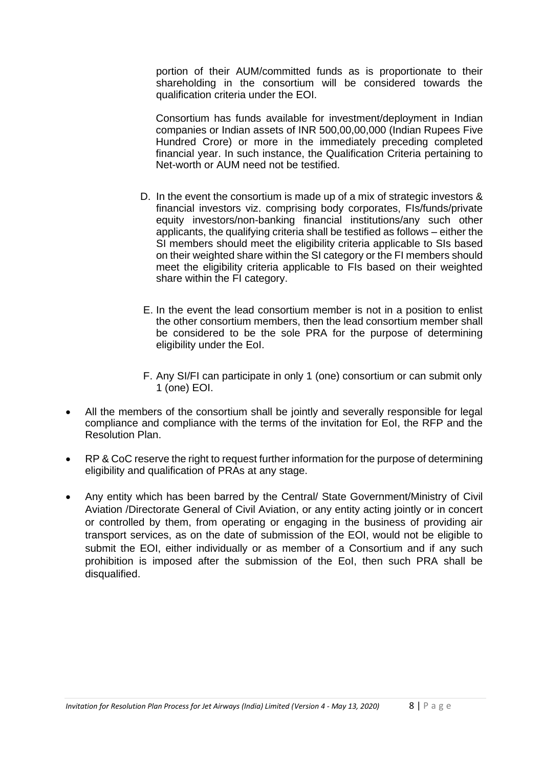portion of their AUM/committed funds as is proportionate to their shareholding in the consortium will be considered towards the qualification criteria under the EOI.

Consortium has funds available for investment/deployment in Indian companies or Indian assets of INR 500,00,00,000 (Indian Rupees Five Hundred Crore) or more in the immediately preceding completed financial year. In such instance, the Qualification Criteria pertaining to Net-worth or AUM need not be testified.

- D. In the event the consortium is made up of a mix of strategic investors & financial investors viz. comprising body corporates, FIs/funds/private equity investors/non-banking financial institutions/any such other applicants, the qualifying criteria shall be testified as follows – either the SI members should meet the eligibility criteria applicable to SIs based on their weighted share within the SI category or the FI members should meet the eligibility criteria applicable to FIs based on their weighted share within the FI category.
- E. In the event the lead consortium member is not in a position to enlist the other consortium members, then the lead consortium member shall be considered to be the sole PRA for the purpose of determining eligibility under the EoI.
- F. Any SI/FI can participate in only 1 (one) consortium or can submit only 1 (one) EOI.
- All the members of the consortium shall be jointly and severally responsible for legal compliance and compliance with the terms of the invitation for EoI, the RFP and the Resolution Plan.
- RP & CoC reserve the right to request further information for the purpose of determining eligibility and qualification of PRAs at any stage.
- Any entity which has been barred by the Central/ State Government/Ministry of Civil Aviation /Directorate General of Civil Aviation, or any entity acting jointly or in concert or controlled by them, from operating or engaging in the business of providing air transport services, as on the date of submission of the EOI, would not be eligible to submit the EOI, either individually or as member of a Consortium and if any such prohibition is imposed after the submission of the EoI, then such PRA shall be disqualified.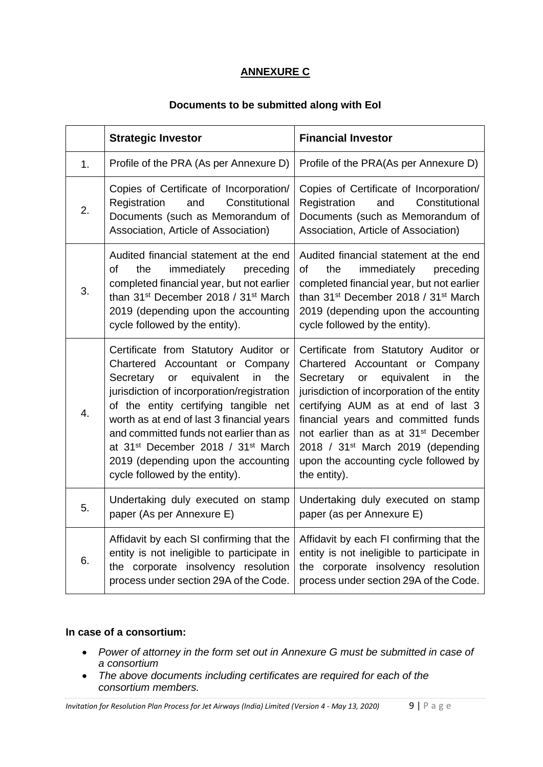## **ANNEXURE C**

### **Documents to be submitted along with EoI**

|    | <b>Strategic Investor</b>                                                                                                                                                                                                                                                                                                                                                                                                                    | <b>Financial Investor</b>                                                                                                                                                                                                                                                                                                                                                                                        |
|----|----------------------------------------------------------------------------------------------------------------------------------------------------------------------------------------------------------------------------------------------------------------------------------------------------------------------------------------------------------------------------------------------------------------------------------------------|------------------------------------------------------------------------------------------------------------------------------------------------------------------------------------------------------------------------------------------------------------------------------------------------------------------------------------------------------------------------------------------------------------------|
| 1. | Profile of the PRA (As per Annexure D)                                                                                                                                                                                                                                                                                                                                                                                                       | Profile of the PRA(As per Annexure D)                                                                                                                                                                                                                                                                                                                                                                            |
| 2. | Copies of Certificate of Incorporation/<br>Constitutional<br>Registration<br>and<br>Documents (such as Memorandum of<br>Association, Article of Association)                                                                                                                                                                                                                                                                                 | Copies of Certificate of Incorporation/<br>Constitutional<br>Registration<br>and<br>Documents (such as Memorandum of<br>Association, Article of Association)                                                                                                                                                                                                                                                     |
| 3. | Audited financial statement at the end<br>of<br>the<br>immediately<br>preceding<br>completed financial year, but not earlier<br>than 31 <sup>st</sup> December 2018 / 31 <sup>st</sup> March<br>2019 (depending upon the accounting<br>cycle followed by the entity).                                                                                                                                                                        | Audited financial statement at the end<br><b>of</b><br>the<br>immediately preceding<br>completed financial year, but not earlier<br>than 31 <sup>st</sup> December 2018 / 31 <sup>st</sup> March<br>2019 (depending upon the accounting<br>cycle followed by the entity).                                                                                                                                        |
| 4. | Certificate from Statutory Auditor or<br>Chartered Accountant or Company<br>equivalent<br>Secretary<br>in<br>the<br>or<br>jurisdiction of incorporation/registration<br>of the entity certifying tangible net<br>worth as at end of last 3 financial years<br>and committed funds not earlier than as<br>at 31 <sup>st</sup> December 2018 / 31 <sup>st</sup> March<br>2019 (depending upon the accounting<br>cycle followed by the entity). | Certificate from Statutory Auditor or<br>Chartered Accountant or Company<br>equivalent<br>the<br>Secretary<br>in<br>or<br>jurisdiction of incorporation of the entity<br>certifying AUM as at end of last 3<br>financial years and committed funds<br>not earlier than as at 31 <sup>st</sup> December<br>2018 / 31 <sup>st</sup> March 2019 (depending<br>upon the accounting cycle followed by<br>the entity). |
| 5. | Undertaking duly executed on stamp<br>paper (As per Annexure E)                                                                                                                                                                                                                                                                                                                                                                              | Undertaking duly executed on stamp<br>paper (as per Annexure E)                                                                                                                                                                                                                                                                                                                                                  |
| 6. | Affidavit by each SI confirming that the<br>entity is not ineligible to participate in<br>the corporate insolvency resolution<br>process under section 29A of the Code.                                                                                                                                                                                                                                                                      | Affidavit by each FI confirming that the<br>entity is not ineligible to participate in<br>the corporate insolvency resolution<br>process under section 29A of the Code.                                                                                                                                                                                                                                          |

### **In case of a consortium:**

- *Power of attorney in the form set out in Annexure G must be submitted in case of a consortium*
- *The above documents including certificates are required for each of the consortium members.*

*Invitation for Resolution Plan Process for Jet Airways (India) Limited (Version 4 - May 13, 2020)* 9 | P a g e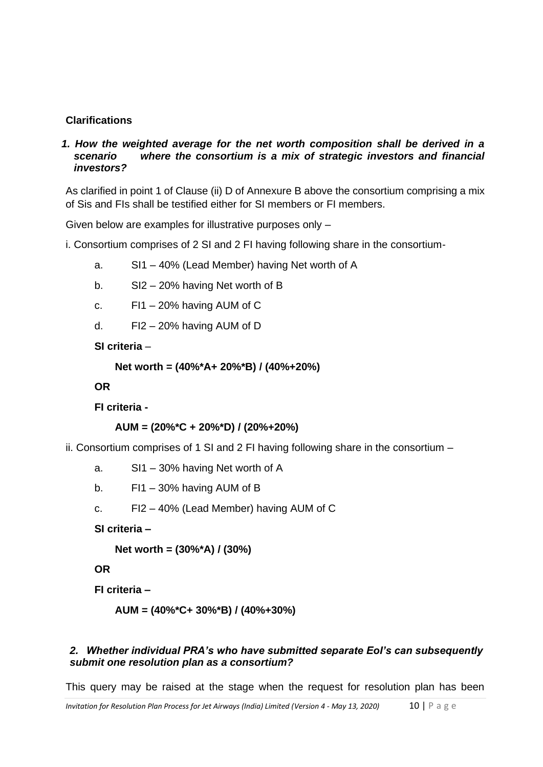## **Clarifications**

#### *1. How the weighted average for the net worth composition shall be derived in a scenario where the consortium is a mix of strategic investors and financial investors?*

As clarified in point 1 of Clause (ii) D of Annexure B above the consortium comprising a mix of Sis and FIs shall be testified either for SI members or FI members.

Given below are examples for illustrative purposes only –

i. Consortium comprises of 2 SI and 2 FI having following share in the consortium-

- a. SI1 40% (Lead Member) having Net worth of A
- b. SI2 20% having Net worth of B
- c. FI1 20% having AUM of C
- d. FI2 20% having AUM of D

**SI criteria** –

```
Net worth = (40%*A+ 20%*B) / (40%+20%)
```
**OR**

**FI criteria -**

**AUM = (20%\*C + 20%\*D) / (20%+20%)**

ii. Consortium comprises of 1 SI and 2 FI having following share in the consortium –

- a. SI1 30% having Net worth of A
- b. FI1 30% having AUM of B
- c. FI2 40% (Lead Member) having AUM of C

**SI criteria –**

**Net worth = (30%\*A) / (30%)**

**OR**

**FI criteria –**

**AUM = (40%\*C+ 30%\*B) / (40%+30%)**

#### *2. Whether individual PRA's who have submitted separate EoI's can subsequently submit one resolution plan as a consortium?*

This query may be raised at the stage when the request for resolution plan has been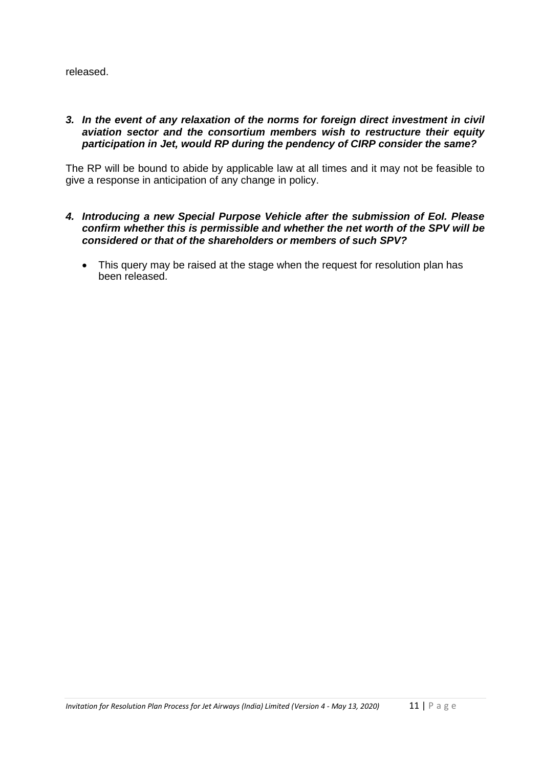released.

#### *3. In the event of any relaxation of the norms for foreign direct investment in civil aviation sector and the consortium members wish to restructure their equity participation in Jet, would RP during the pendency of CIRP consider the same?*

The RP will be bound to abide by applicable law at all times and it may not be feasible to give a response in anticipation of any change in policy.

#### *4. Introducing a new Special Purpose Vehicle after the submission of EoI. Please confirm whether this is permissible and whether the net worth of the SPV will be considered or that of the shareholders or members of such SPV?*

• This query may be raised at the stage when the request for resolution plan has been released.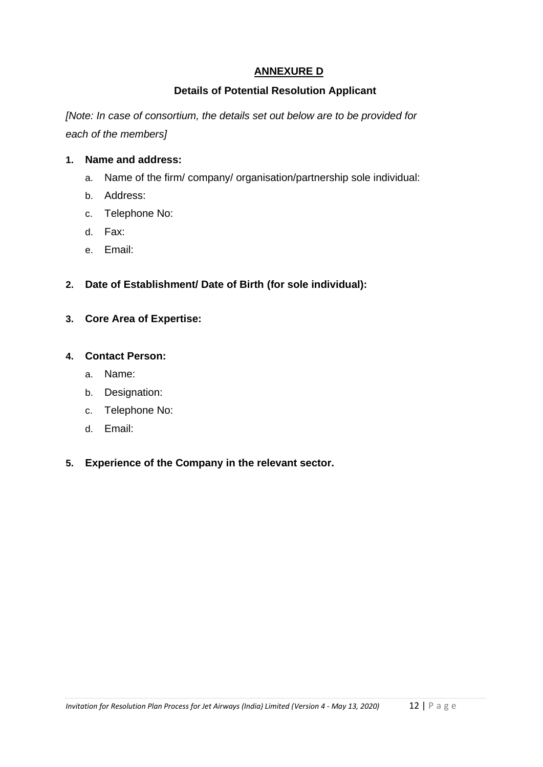## **ANNEXURE D**

### **Details of Potential Resolution Applicant**

*[Note: In case of consortium, the details set out below are to be provided for each of the members]*

#### **1. Name and address:**

- a. Name of the firm/ company/ organisation/partnership sole individual:
- b. Address:
- c. Telephone No:
- d. Fax:
- e. Email:
- **2. Date of Establishment/ Date of Birth (for sole individual):**
- **3. Core Area of Expertise:**

#### **4. Contact Person:**

- a. Name:
- b. Designation:
- c. Telephone No:
- d. Email:

### **5. Experience of the Company in the relevant sector.**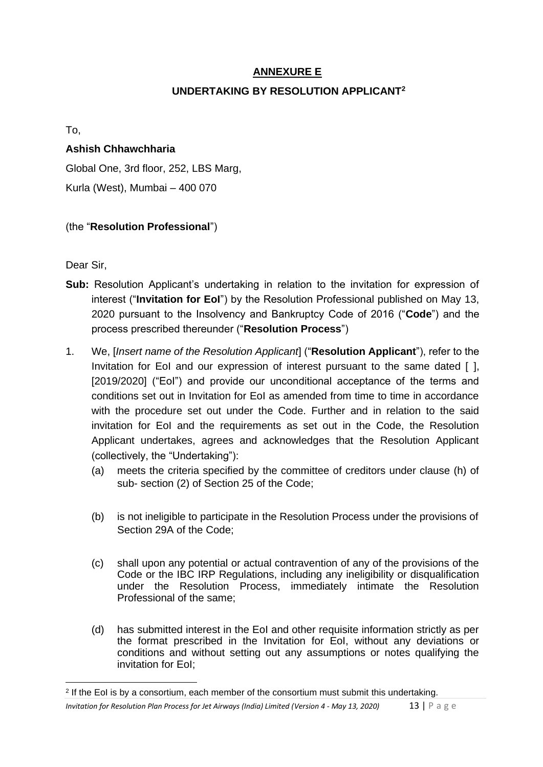## **ANNEXURE E**

## **UNDERTAKING BY RESOLUTION APPLICANT<sup>2</sup>**

To,

## **Ashish Chhawchharia**

Global One, 3rd floor, 252, LBS Marg, Kurla (West), Mumbai – 400 070

## (the "**Resolution Professional**")

Dear Sir,

- **Sub:** Resolution Applicant's undertaking in relation to the invitation for expression of interest ("**Invitation for EoI**") by the Resolution Professional published on May 13, 2020 pursuant to the Insolvency and Bankruptcy Code of 2016 ("**Code**") and the process prescribed thereunder ("**Resolution Process**")
- 1. We, [*Insert name of the Resolution Applicant*] ("**Resolution Applicant**"), refer to the Invitation for EoI and our expression of interest pursuant to the same dated [ ], [2019/2020] ("EoI") and provide our unconditional acceptance of the terms and conditions set out in Invitation for EoI as amended from time to time in accordance with the procedure set out under the Code. Further and in relation to the said invitation for EoI and the requirements as set out in the Code, the Resolution Applicant undertakes, agrees and acknowledges that the Resolution Applicant (collectively, the "Undertaking"):
	- (a) meets the criteria specified by the committee of creditors under clause (h) of sub- section (2) of Section 25 of the Code;
	- (b) is not ineligible to participate in the Resolution Process under the provisions of Section 29A of the Code;
	- (c) shall upon any potential or actual contravention of any of the provisions of the Code or the IBC IRP Regulations, including any ineligibility or disqualification under the Resolution Process, immediately intimate the Resolution Professional of the same;
	- (d) has submitted interest in the EoI and other requisite information strictly as per the format prescribed in the Invitation for EoI, without any deviations or conditions and without setting out any assumptions or notes qualifying the invitation for EoI;

*Invitation for Resolution Plan Process for Jet Airways (India) Limited (Version 4 - May 13, 2020)* 13 | P a g e <sup>2</sup> If the EoI is by a consortium, each member of the consortium must submit this undertaking.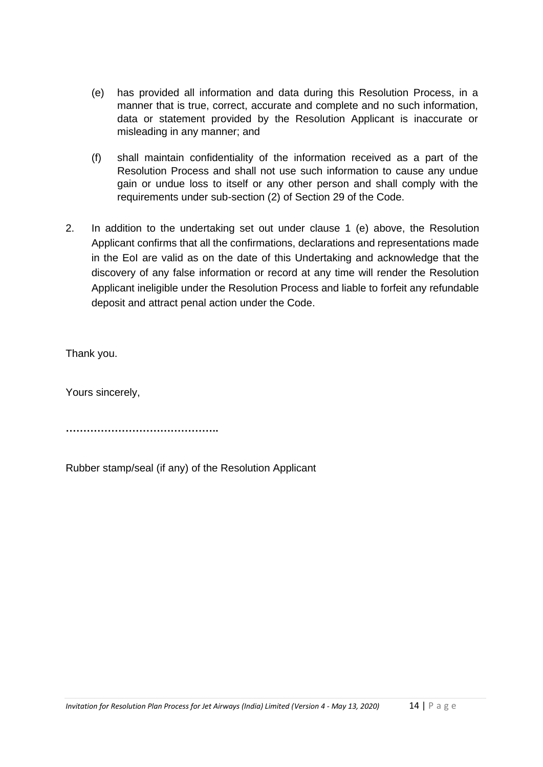- (e) has provided all information and data during this Resolution Process, in a manner that is true, correct, accurate and complete and no such information, data or statement provided by the Resolution Applicant is inaccurate or misleading in any manner; and
- (f) shall maintain confidentiality of the information received as a part of the Resolution Process and shall not use such information to cause any undue gain or undue loss to itself or any other person and shall comply with the requirements under sub-section (2) of Section 29 of the Code.
- 2. In addition to the undertaking set out under clause 1 (e) above, the Resolution Applicant confirms that all the confirmations, declarations and representations made in the EoI are valid as on the date of this Undertaking and acknowledge that the discovery of any false information or record at any time will render the Resolution Applicant ineligible under the Resolution Process and liable to forfeit any refundable deposit and attract penal action under the Code.

Thank you.

Yours sincerely,

**……………………………………..**

Rubber stamp/seal (if any) of the Resolution Applicant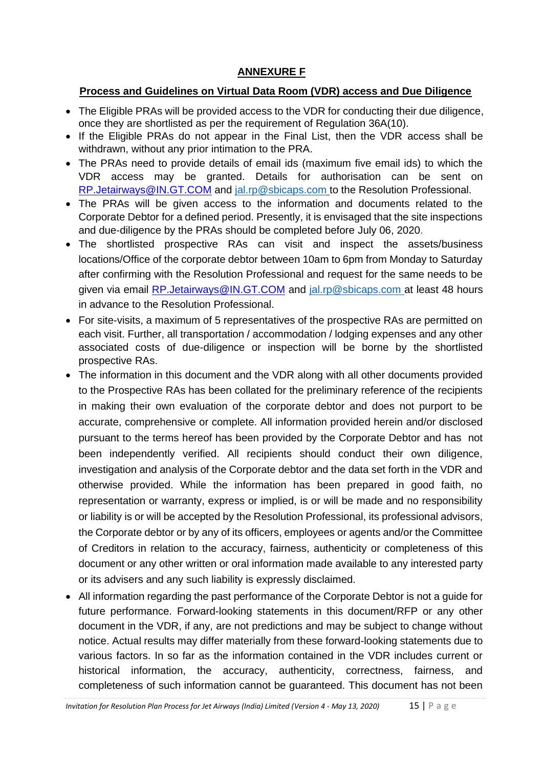## **ANNEXURE F**

## **Process and Guidelines on Virtual Data Room (VDR) access and Due Diligence**

- The Eligible PRAs will be provided access to the VDR for conducting their due diligence, once they are shortlisted as per the requirement of Regulation 36A(10).
- If the Eligible PRAs do not appear in the Final List, then the VDR access shall be withdrawn, without any prior intimation to the PRA.
- The PRAs need to provide details of email ids (maximum five email ids) to which the VDR access may be granted. Details for authorisation can be sent on RP.Jetairways@IN.GT.COM and [jal.rp@sbicaps.com](mailto:jal.rp@sbicaps.com) to the Resolution Professional.
- The PRAs will be given access to the information and documents related to the Corporate Debtor for a defined period. Presently, it is envisaged that the site inspections and due-diligence by the PRAs should be completed before July 06, 2020.
- The shortlisted prospective RAs can visit and inspect the assets/business locations/Office of the corporate debtor between 10am to 6pm from Monday to Saturday after confirming with the Resolution Professional and request for the same needs to be given via email RP.Jetairways@IN.GT.COM and [jal.rp@sbicaps.com](mailto:jal.rp@sbicaps.com) at least 48 hours in advance to the Resolution Professional.
- For site-visits, a maximum of 5 representatives of the prospective RAs are permitted on each visit. Further, all transportation / accommodation / lodging expenses and any other associated costs of due-diligence or inspection will be borne by the shortlisted prospective RAs.
- The information in this document and the VDR along with all other documents provided to the Prospective RAs has been collated for the preliminary reference of the recipients in making their own evaluation of the corporate debtor and does not purport to be accurate, comprehensive or complete. All information provided herein and/or disclosed pursuant to the terms hereof has been provided by the Corporate Debtor and has not been independently verified. All recipients should conduct their own diligence, investigation and analysis of the Corporate debtor and the data set forth in the VDR and otherwise provided. While the information has been prepared in good faith, no representation or warranty, express or implied, is or will be made and no responsibility or liability is or will be accepted by the Resolution Professional, its professional advisors, the Corporate debtor or by any of its officers, employees or agents and/or the Committee of Creditors in relation to the accuracy, fairness, authenticity or completeness of this document or any other written or oral information made available to any interested party or its advisers and any such liability is expressly disclaimed.
- All information regarding the past performance of the Corporate Debtor is not a guide for future performance. Forward-looking statements in this document/RFP or any other document in the VDR, if any, are not predictions and may be subject to change without notice. Actual results may differ materially from these forward-looking statements due to various factors. In so far as the information contained in the VDR includes current or historical information, the accuracy, authenticity, correctness, fairness, and completeness of such information cannot be guaranteed. This document has not been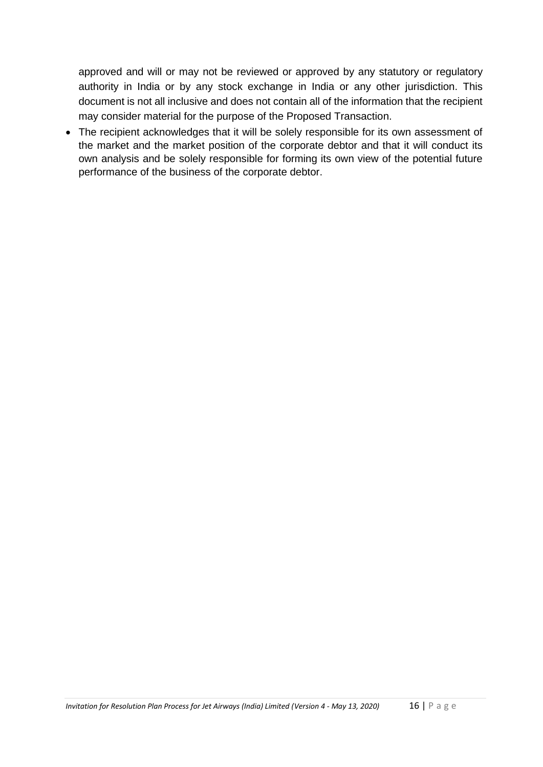approved and will or may not be reviewed or approved by any statutory or regulatory authority in India or by any stock exchange in India or any other jurisdiction. This document is not all inclusive and does not contain all of the information that the recipient may consider material for the purpose of the Proposed Transaction.

• The recipient acknowledges that it will be solely responsible for its own assessment of the market and the market position of the corporate debtor and that it will conduct its own analysis and be solely responsible for forming its own view of the potential future performance of the business of the corporate debtor.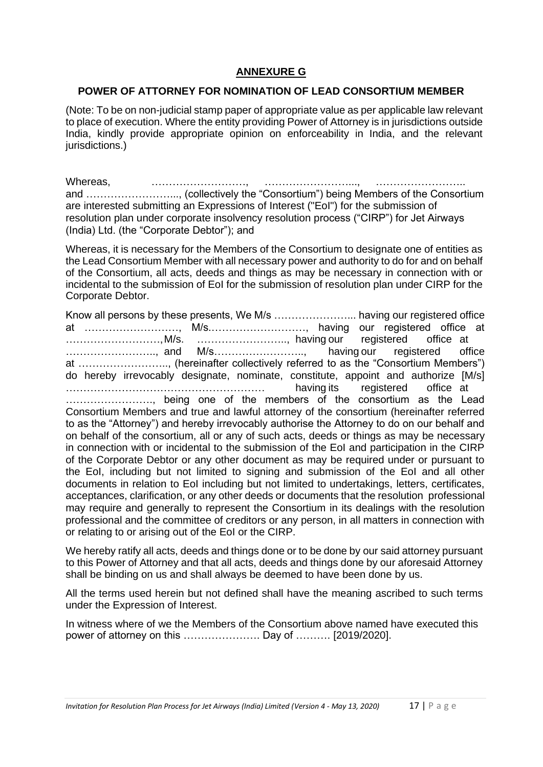## **ANNEXURE G**

#### **POWER OF ATTORNEY FOR NOMINATION OF LEAD CONSORTIUM MEMBER**

(Note: To be on non-judicial stamp paper of appropriate value as per applicable law relevant to place of execution. Where the entity providing Power of Attorney is in jurisdictions outside India, kindly provide appropriate opinion on enforceability in India, and the relevant jurisdictions.)

Whereas, …………………………, …………………………, and ……………………..., (collectively the "Consortium") being Members of the Consortium are interested submitting an Expressions of Interest ("EoI") for the submission of resolution plan under corporate insolvency resolution process ("CIRP") for Jet Airways (India) Ltd. (the "Corporate Debtor"); and

Whereas, it is necessary for the Members of the Consortium to designate one of entities as the Lead Consortium Member with all necessary power and authority to do for and on behalf of the Consortium, all acts, deeds and things as may be necessary in connection with or incidental to the submission of EoI for the submission of resolution plan under CIRP for the Corporate Debtor.

Know all persons by these presents, We M/s …………………... having our registered office at ………………………, M/s.………………………, having our registered office at ………………………,M/s. …………………….., having our registered office at …………………….., and M/s…………………….., having our registered office at …………………….., (hereinafter collectively referred to as the "Consortium Members") do hereby irrevocably designate, nominate, constitute, appoint and authorize [M/s] ………………………………………………… having its registered office at ……………………., being one of the members of the consortium as the Lead Consortium Members and true and lawful attorney of the consortium (hereinafter referred to as the "Attorney") and hereby irrevocably authorise the Attorney to do on our behalf and on behalf of the consortium, all or any of such acts, deeds or things as may be necessary in connection with or incidental to the submission of the EoI and participation in the CIRP of the Corporate Debtor or any other document as may be required under or pursuant to the EoI, including but not limited to signing and submission of the EoI and all other documents in relation to EoI including but not limited to undertakings, letters, certificates, acceptances, clarification, or any other deeds or documents that the resolution professional may require and generally to represent the Consortium in its dealings with the resolution professional and the committee of creditors or any person, in all matters in connection with or relating to or arising out of the EoI or the CIRP.

We hereby ratify all acts, deeds and things done or to be done by our said attorney pursuant to this Power of Attorney and that all acts, deeds and things done by our aforesaid Attorney shall be binding on us and shall always be deemed to have been done by us.

All the terms used herein but not defined shall have the meaning ascribed to such terms under the Expression of Interest.

In witness where of we the Members of the Consortium above named have executed this power of attorney on this …………………. Day of ………. [2019/2020].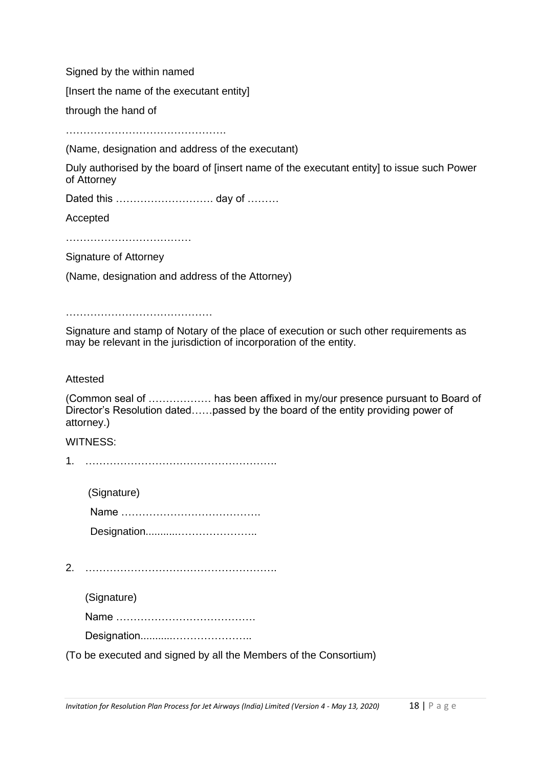Signed by the within named

[Insert the name of the executant entity]

through the hand of

………………………………………………………

(Name, designation and address of the executant)

Duly authorised by the board of [insert name of the executant entity] to issue such Power of Attorney

Dated this ………………………… day of ………

Accepted

……………………………………

Signature of Attorney

(Name, designation and address of the Attorney)

……………………………………

Signature and stamp of Notary of the place of execution or such other requirements as may be relevant in the jurisdiction of incorporation of the entity.

#### Attested

(Common seal of ……………… has been affixed in my/our presence pursuant to Board of Director's Resolution dated……passed by the board of the entity providing power of attorney.)

#### WITNESS:

1. ……………………………………………….

(Signature) Name …………………………………. Designation...........…………………..

2. ……………………………………………….

(Signature)

Name ………………………………….

Designation...........…………………..

(To be executed and signed by all the Members of the Consortium)